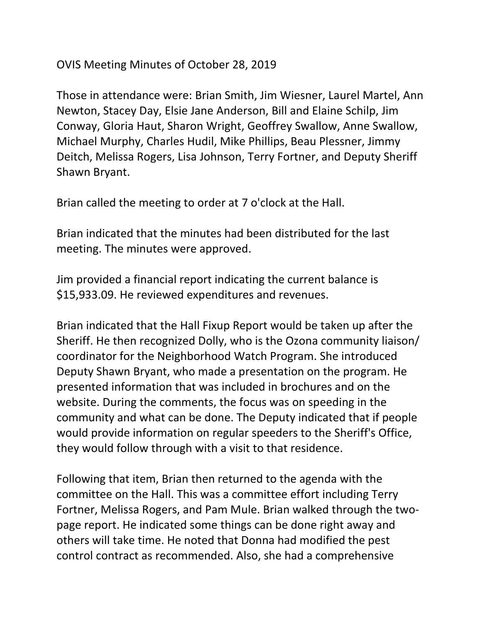## OVIS Meeting Minutes of October 28, 2019

Those in attendance were: Brian Smith, Jim Wiesner, Laurel Martel, Ann Newton, Stacey Day, Elsie Jane Anderson, Bill and Elaine Schilp, Jim Conway, Gloria Haut, Sharon Wright, Geoffrey Swallow, Anne Swallow, Michael Murphy, Charles Hudil, Mike Phillips, Beau Plessner, Jimmy Deitch, Melissa Rogers, Lisa Johnson, Terry Fortner, and Deputy Sheriff Shawn Bryant.

Brian called the meeting to order at 7 o'clock at the Hall.

Brian indicated that the minutes had been distributed for the last meeting. The minutes were approved.

Jim provided a financial report indicating the current balance is \$15,933.09. He reviewed expenditures and revenues.

Brian indicated that the Hall Fixup Report would be taken up after the Sheriff. He then recognized Dolly, who is the Ozona community liaison/ coordinator for the Neighborhood Watch Program. She introduced Deputy Shawn Bryant, who made a presentation on the program. He presented information that was included in brochures and on the website. During the comments, the focus was on speeding in the community and what can be done. The Deputy indicated that if people would provide information on regular speeders to the Sheriff's Office, they would follow through with a visit to that residence.

Following that item, Brian then returned to the agenda with the committee on the Hall. This was a committee effort including Terry Fortner, Melissa Rogers, and Pam Mule. Brian walked through the twopage report. He indicated some things can be done right away and others will take time. He noted that Donna had modified the pest control contract as recommended. Also, she had a comprehensive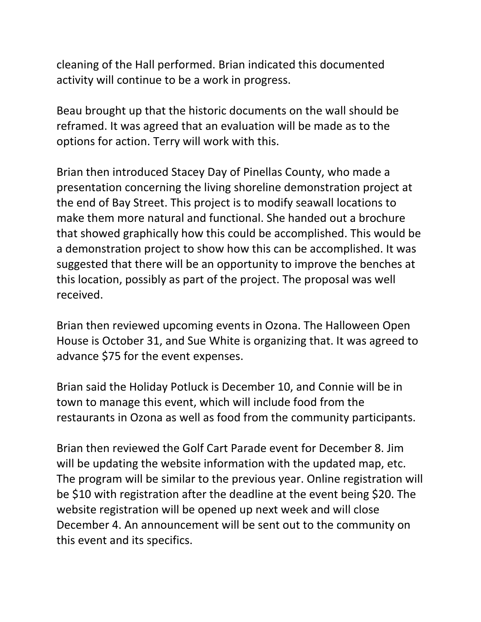cleaning of the Hall performed. Brian indicated this documented activity will continue to be a work in progress.

Beau brought up that the historic documents on the wall should be reframed. It was agreed that an evaluation will be made as to the options for action. Terry will work with this.

Brian then introduced Stacey Day of Pinellas County, who made a presentation concerning the living shoreline demonstration project at the end of Bay Street. This project is to modify seawall locations to make them more natural and functional. She handed out a brochure that showed graphically how this could be accomplished. This would be a demonstration project to show how this can be accomplished. It was suggested that there will be an opportunity to improve the benches at this location, possibly as part of the project. The proposal was well received.

Brian then reviewed upcoming events in Ozona. The Halloween Open House is October 31, and Sue White is organizing that. It was agreed to advance \$75 for the event expenses.

Brian said the Holiday Potluck is December 10, and Connie will be in town to manage this event, which will include food from the restaurants in Ozona as well as food from the community participants.

Brian then reviewed the Golf Cart Parade event for December 8. Jim will be updating the website information with the updated map, etc. The program will be similar to the previous year. Online registration will be \$10 with registration after the deadline at the event being \$20. The website registration will be opened up next week and will close December 4. An announcement will be sent out to the community on this event and its specifics.